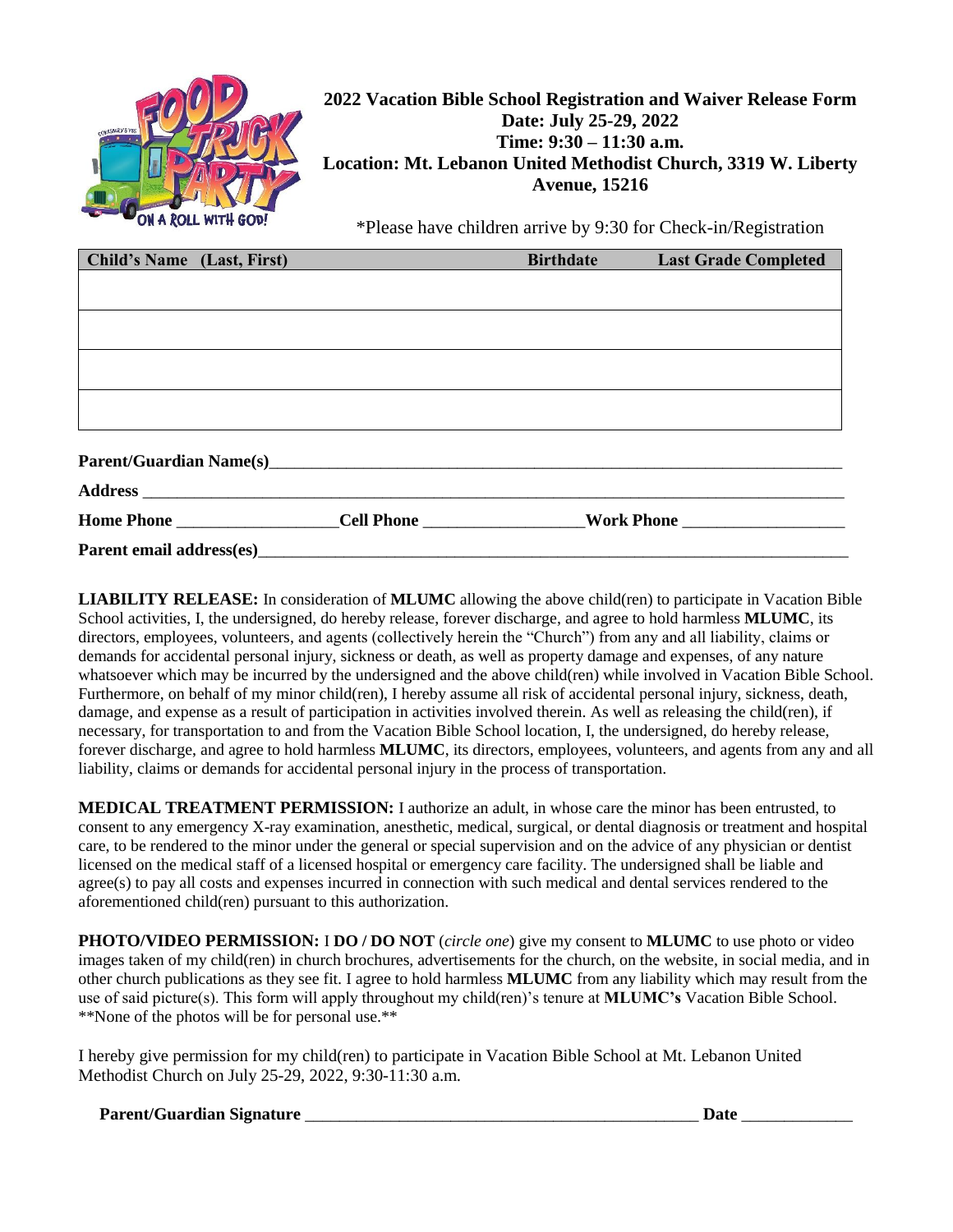

## **2022 Vacation Bible School Registration and Waiver Release Form Date: July 25-29, 2022 Time: 9:30 – 11:30 a.m. Location: Mt. Lebanon United Methodist Church, 3319 W. Liberty Avenue, 15216**

\*Please have children arrive by 9:30 for Check-in/Registration

| Child's Name (Last, First) | <b>Birthdate</b> | <b>Last Grade Completed</b> |
|----------------------------|------------------|-----------------------------|
|                            |                  |                             |
|                            |                  |                             |
|                            |                  |                             |
|                            |                  |                             |
|                            |                  |                             |
|                            |                  |                             |
|                            |                  |                             |
|                            |                  |                             |
|                            |                  |                             |
| Parent email address(es)   |                  |                             |

**LIABILITY RELEASE:** In consideration of **MLUMC** allowing the above child(ren) to participate in Vacation Bible School activities, I, the undersigned, do hereby release, forever discharge, and agree to hold harmless **MLUMC**, its directors, employees, volunteers, and agents (collectively herein the "Church") from any and all liability, claims or demands for accidental personal injury, sickness or death, as well as property damage and expenses, of any nature whatsoever which may be incurred by the undersigned and the above child(ren) while involved in Vacation Bible School. Furthermore, on behalf of my minor child(ren), I hereby assume all risk of accidental personal injury, sickness, death, damage, and expense as a result of participation in activities involved therein. As well as releasing the child(ren), if necessary, for transportation to and from the Vacation Bible School location, I, the undersigned, do hereby release, forever discharge, and agree to hold harmless **MLUMC**, its directors, employees, volunteers, and agents from any and all liability, claims or demands for accidental personal injury in the process of transportation.

**MEDICAL TREATMENT PERMISSION:** I authorize an adult, in whose care the minor has been entrusted, to consent to any emergency X-ray examination, anesthetic, medical, surgical, or dental diagnosis or treatment and hospital care, to be rendered to the minor under the general or special supervision and on the advice of any physician or dentist licensed on the medical staff of a licensed hospital or emergency care facility. The undersigned shall be liable and agree(s) to pay all costs and expenses incurred in connection with such medical and dental services rendered to the aforementioned child(ren) pursuant to this authorization.

**PHOTO/VIDEO PERMISSION:** I **DO / DO NOT** (*circle one*) give my consent to **MLUMC** to use photo or video images taken of my child(ren) in church brochures, advertisements for the church, on the website, in social media, and in other church publications as they see fit. I agree to hold harmless **MLUMC** from any liability which may result from the use of said picture(s). This form will apply throughout my child(ren)'s tenure at **MLUMC's** Vacation Bible School. \*\*None of the photos will be for personal use.\*\*

I hereby give permission for my child(ren) to participate in Vacation Bible School at Mt. Lebanon United Methodist Church on July 25-29, 2022, 9:30-11:30 a.m.

**Parent/Guardian Signature** \_\_\_\_\_\_\_\_\_\_\_\_\_\_\_\_\_\_\_\_\_\_\_\_\_\_\_\_\_\_\_\_\_\_\_\_\_\_\_\_\_\_\_\_\_\_ **Date** \_\_\_\_\_\_\_\_\_\_\_\_\_